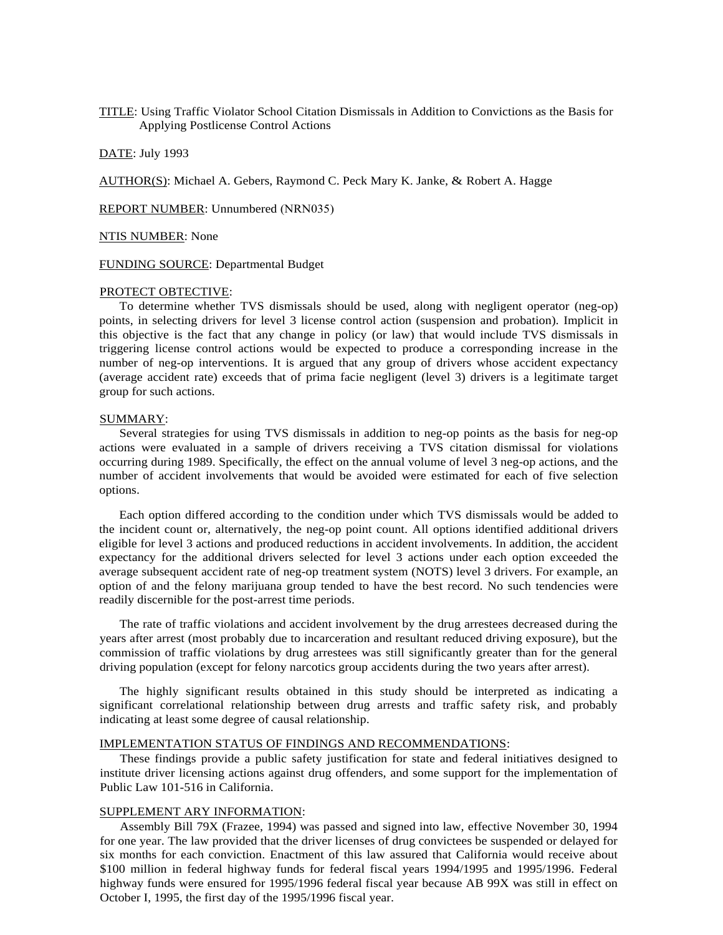TITLE: Using Traffic Violator School Citation Dismissals in Addition to Convictions as the Basis for Applying Postlicense Control Actions

DATE: July 1993

AUTHOR(S): Michael A. Gebers, Raymond C. Peck Mary K. Janke, & Robert A. Hagge

REPORT NUMBER: Unnumbered (NRN035)

#### NTIS NUMBER: None

FUNDING SOURCE: Departmental Budget

## PROTECT OBTECTIVE:

To determine whether TVS dismissals should be used, along with negligent operator (neg-op) points, in selecting drivers for level 3 license control action (suspension and probation). Implicit in this objective is the fact that any change in policy (or law) that would include TVS dismissals in triggering license control actions would be expected to produce a corresponding increase in the number of neg-op interventions. It is argued that any group of drivers whose accident expectancy (average accident rate) exceeds that of prima facie negligent (level 3) drivers is a legitimate target group for such actions.

### SUMMARY:

Several strategies for using TVS dismissals in addition to neg-op points as the basis for neg-op actions were evaluated in a sample of drivers receiving a TVS citation dismissal for violations occurring during 1989. Specifically, the effect on the annual volume of level 3 neg-op actions, and the number of accident involvements that would be avoided were estimated for each of five selection options.

Each option differed according to the condition under which TVS dismissals would be added to the incident count or, alternatively, the neg-op point count. All options identified additional drivers eligible for level 3 actions and produced reductions in accident involvements. In addition, the accident expectancy for the additional drivers selected for level 3 actions under each option exceeded the average subsequent accident rate of neg-op treatment system (NOTS) level 3 drivers. For example, an option of and the felony marijuana group tended to have the best record. No such tendencies were readily discernible for the post-arrest time periods.

The rate of traffic violations and accident involvement by the drug arrestees decreased during the years after arrest (most probably due to incarceration and resultant reduced driving exposure), but the commission of traffic violations by drug arrestees was still significantly greater than for the general driving population (except for felony narcotics group accidents during the two years after arrest).

The highly significant results obtained in this study should be interpreted as indicating a significant correlational relationship between drug arrests and traffic safety risk, and probably indicating at least some degree of causal relationship.

#### IMPLEMENTATION STATUS OF FINDINGS AND RECOMMENDATIONS:

These findings provide a public safety justification for state and federal initiatives designed to institute driver licensing actions against drug offenders, and some support for the implementation of Public Law 101-516 in California.

# SUPPLEMENT ARY INFORMATION:

Assembly Bill 79X (Frazee, 1994) was passed and signed into law, effective November 30, 1994 for one year. The law provided that the driver licenses of drug convictees be suspended or delayed for six months for each conviction. Enactment of this law assured that California would receive about \$100 million in federal highway funds for federal fiscal years 1994/1995 and 1995/1996. Federal highway funds were ensured for 1995/1996 federal fiscal year because AB 99X was still in effect on October I, 1995, the first day of the 1995/1996 fiscal year.